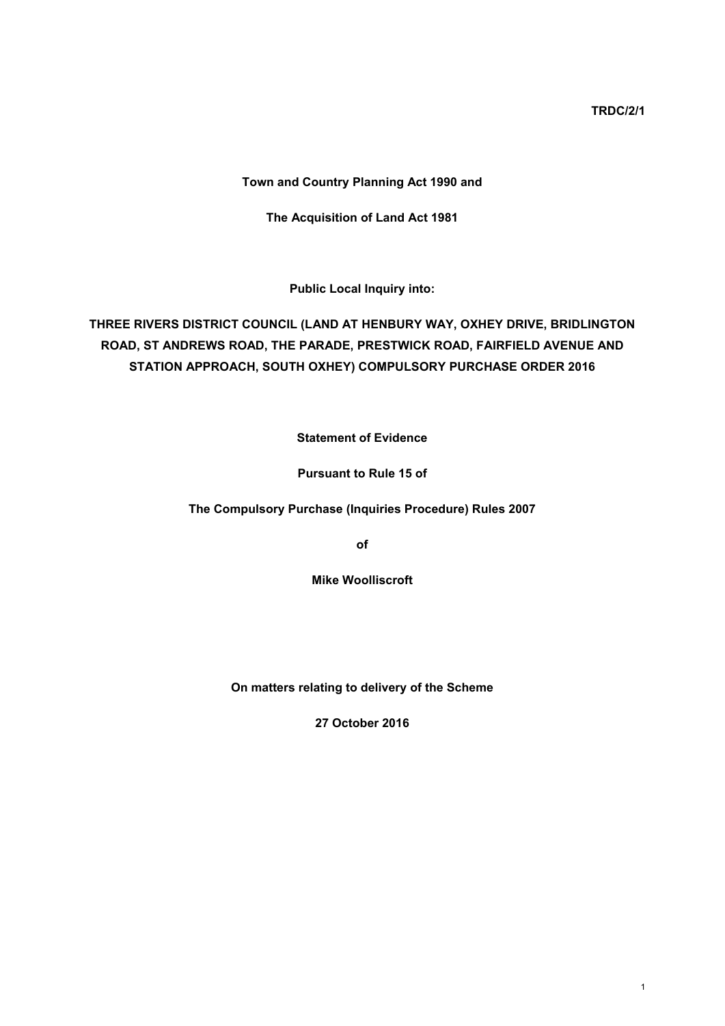**TRDC/2/1**

## **Town and Country Planning Act 1990 and**

**The Acquisition of Land Act 1981**

**Public Local Inquiry into:**

**THREE RIVERS DISTRICT COUNCIL (LAND AT HENBURY WAY, OXHEY DRIVE, BRIDLINGTON ROAD, ST ANDREWS ROAD, THE PARADE, PRESTWICK ROAD, FAIRFIELD AVENUE AND STATION APPROACH, SOUTH OXHEY) COMPULSORY PURCHASE ORDER 2016**

**Statement of Evidence**

**Pursuant to Rule 15 of**

**The Compulsory Purchase (Inquiries Procedure) Rules 2007**

**of**

**Mike Woolliscroft**

**On matters relating to delivery of the Scheme**

**27 October 2016**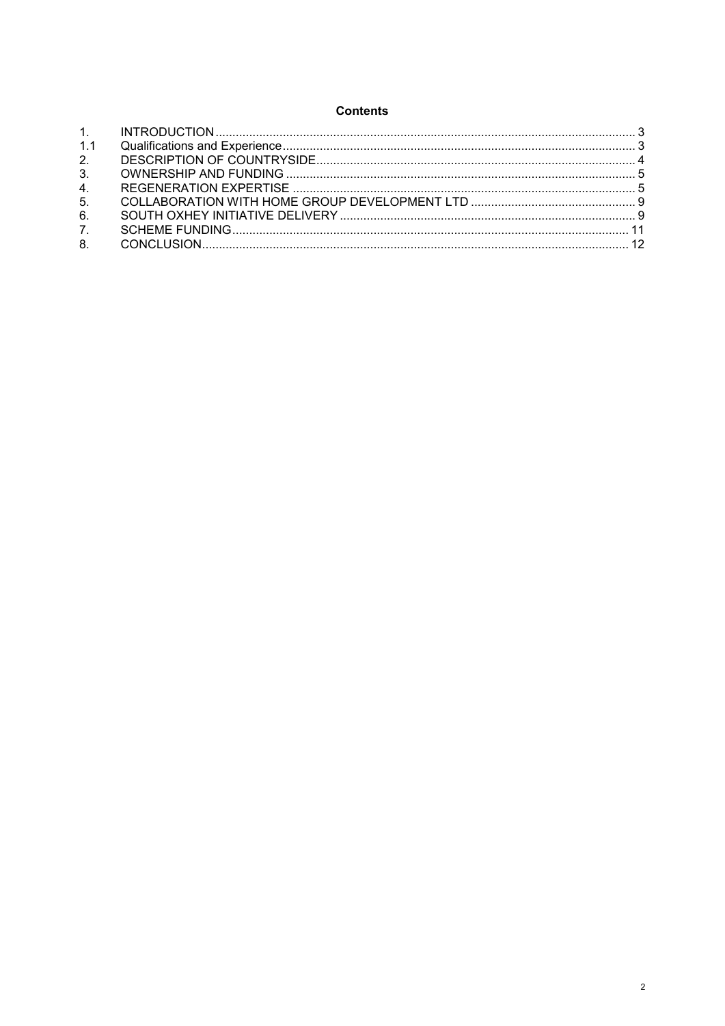## **Contents**

| 1.1 |  |
|-----|--|
| 2.  |  |
| 3.  |  |
| 4.  |  |
| 5.  |  |
| 6.  |  |
| 7.  |  |
|     |  |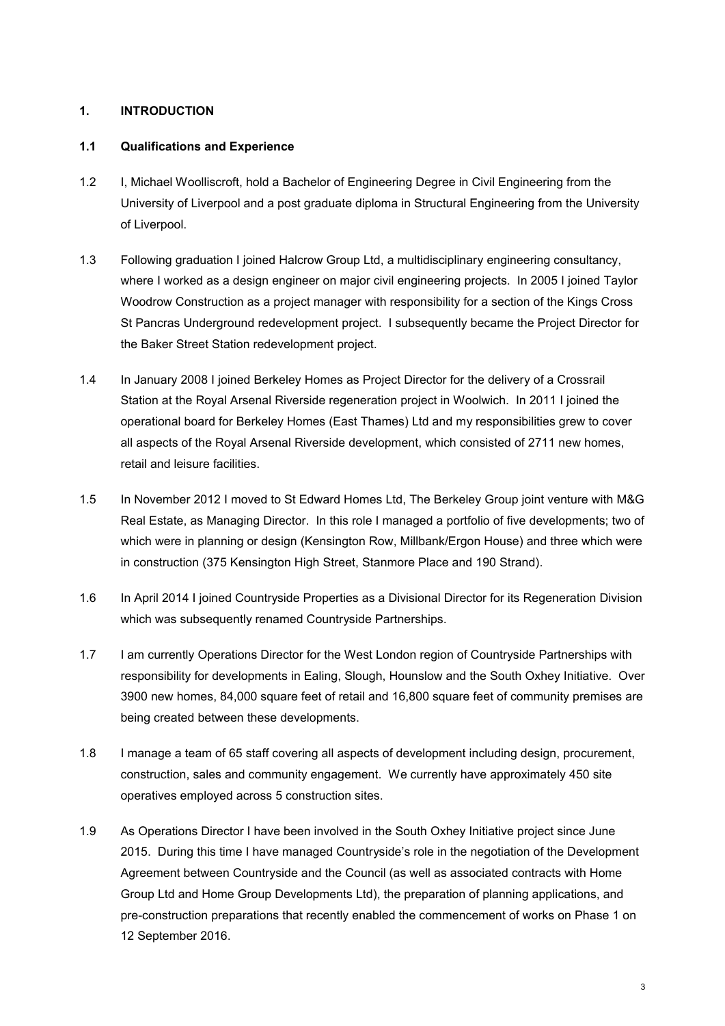## <span id="page-2-0"></span>**1. INTRODUCTION**

### <span id="page-2-1"></span>**1.1 Qualifications and Experience**

- 1.2 I, Michael Woolliscroft, hold a Bachelor of Engineering Degree in Civil Engineering from the University of Liverpool and a post graduate diploma in Structural Engineering from the University of Liverpool.
- 1.3 Following graduation I joined Halcrow Group Ltd, a multidisciplinary engineering consultancy, where I worked as a design engineer on major civil engineering projects. In 2005 I joined Taylor Woodrow Construction as a project manager with responsibility for a section of the Kings Cross St Pancras Underground redevelopment project. I subsequently became the Project Director for the Baker Street Station redevelopment project.
- 1.4 In January 2008 I joined Berkeley Homes as Project Director for the delivery of a Crossrail Station at the Royal Arsenal Riverside regeneration project in Woolwich. In 2011 I joined the operational board for Berkeley Homes (East Thames) Ltd and my responsibilities grew to cover all aspects of the Royal Arsenal Riverside development, which consisted of 2711 new homes, retail and leisure facilities.
- 1.5 In November 2012 I moved to St Edward Homes Ltd, The Berkeley Group joint venture with M&G Real Estate, as Managing Director. In this role I managed a portfolio of five developments; two of which were in planning or design (Kensington Row, Millbank/Ergon House) and three which were in construction (375 Kensington High Street, Stanmore Place and 190 Strand).
- 1.6 In April 2014 I joined Countryside Properties as a Divisional Director for its Regeneration Division which was subsequently renamed Countryside Partnerships.
- 1.7 I am currently Operations Director for the West London region of Countryside Partnerships with responsibility for developments in Ealing, Slough, Hounslow and the South Oxhey Initiative. Over 3900 new homes, 84,000 square feet of retail and 16,800 square feet of community premises are being created between these developments.
- 1.8 I manage a team of 65 staff covering all aspects of development including design, procurement, construction, sales and community engagement. We currently have approximately 450 site operatives employed across 5 construction sites.
- 1.9 As Operations Director I have been involved in the South Oxhey Initiative project since June 2015. During this time I have managed Countryside's role in the negotiation of the Development Agreement between Countryside and the Council (as well as associated contracts with Home Group Ltd and Home Group Developments Ltd), the preparation of planning applications, and pre-construction preparations that recently enabled the commencement of works on Phase 1 on 12 September 2016.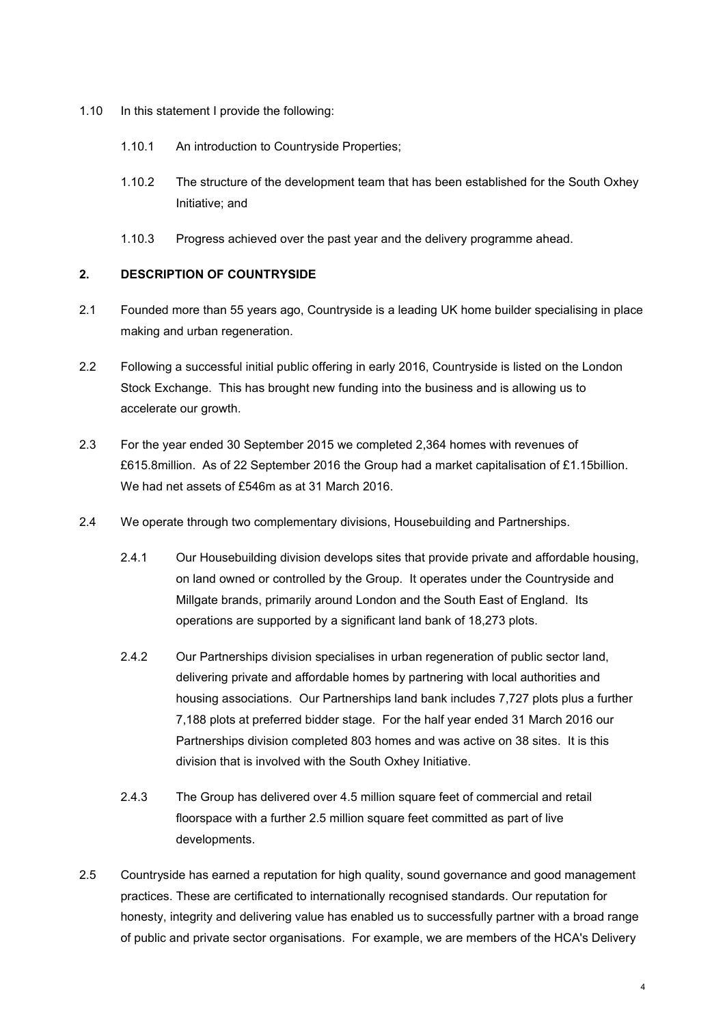- 1.10 In this statement I provide the following:
	- 1.10.1 An introduction to Countryside Properties;
	- 1.10.2 The structure of the development team that has been established for the South Oxhey Initiative; and
	- 1.10.3 Progress achieved over the past year and the delivery programme ahead.

# <span id="page-3-0"></span>**2. DESCRIPTION OF COUNTRYSIDE**

- 2.1 Founded more than 55 years ago, Countryside is a leading UK home builder specialising in place making and urban regeneration.
- 2.2 Following a successful initial public offering in early 2016, Countryside is listed on the London Stock Exchange. This has brought new funding into the business and is allowing us to accelerate our growth.
- 2.3 For the year ended 30 September 2015 we completed 2,364 homes with revenues of £615.8million. As of 22 September 2016 the Group had a market capitalisation of £1.15billion. We had net assets of £546m as at 31 March 2016.
- 2.4 We operate through two complementary divisions, Housebuilding and Partnerships.
	- 2.4.1 Our Housebuilding division develops sites that provide private and affordable housing, on land owned or controlled by the Group. It operates under the Countryside and Millgate brands, primarily around London and the South East of England. Its operations are supported by a significant land bank of 18,273 plots.
	- 2.4.2 Our Partnerships division specialises in urban regeneration of public sector land, delivering private and affordable homes by partnering with local authorities and housing associations. Our Partnerships land bank includes 7,727 plots plus a further 7,188 plots at preferred bidder stage. For the half year ended 31 March 2016 our Partnerships division completed 803 homes and was active on 38 sites. It is this division that is involved with the South Oxhey Initiative.
	- 2.4.3 The Group has delivered over 4.5 million square feet of commercial and retail floorspace with a further 2.5 million square feet committed as part of live developments.
- 2.5 Countryside has earned a reputation for high quality, sound governance and good management practices. These are certificated to internationally recognised standards. Our reputation for honesty, integrity and delivering value has enabled us to successfully partner with a broad range of public and private sector organisations. For example, we are members of the HCA's Delivery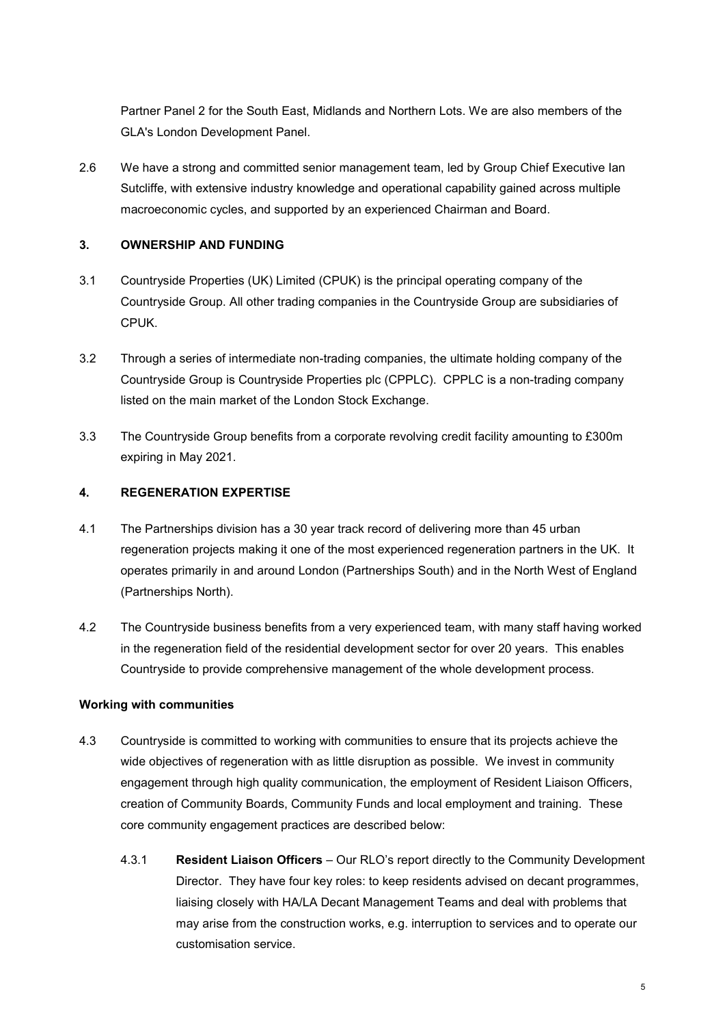Partner Panel 2 for the South East, Midlands and Northern Lots. We are also members of the GLA's London Development Panel.

2.6 We have a strong and committed senior management team, led by Group Chief Executive Ian Sutcliffe, with extensive industry knowledge and operational capability gained across multiple macroeconomic cycles, and supported by an experienced Chairman and Board.

# <span id="page-4-0"></span>**3. OWNERSHIP AND FUNDING**

- 3.1 Countryside Properties (UK) Limited (CPUK) is the principal operating company of the Countryside Group. All other trading companies in the Countryside Group are subsidiaries of **CPUK.**
- 3.2 Through a series of intermediate non-trading companies, the ultimate holding company of the Countryside Group is Countryside Properties plc (CPPLC). CPPLC is a non-trading company listed on the main market of the London Stock Exchange.
- 3.3 The Countryside Group benefits from a corporate revolving credit facility amounting to £300m expiring in May 2021.

# <span id="page-4-1"></span>**4. REGENERATION EXPERTISE**

- 4.1 The Partnerships division has a 30 year track record of delivering more than 45 urban regeneration projects making it one of the most experienced regeneration partners in the UK. It operates primarily in and around London (Partnerships South) and in the North West of England (Partnerships North).
- 4.2 The Countryside business benefits from a very experienced team, with many staff having worked in the regeneration field of the residential development sector for over 20 years. This enables Countryside to provide comprehensive management of the whole development process.

## **Working with communities**

- 4.3 Countryside is committed to working with communities to ensure that its projects achieve the wide objectives of regeneration with as little disruption as possible. We invest in community engagement through high quality communication, the employment of Resident Liaison Officers, creation of Community Boards, Community Funds and local employment and training. These core community engagement practices are described below:
	- 4.3.1 **Resident Liaison Officers** Our RLO's report directly to the Community Development Director. They have four key roles: to keep residents advised on decant programmes, liaising closely with HA/LA Decant Management Teams and deal with problems that may arise from the construction works, e.g. interruption to services and to operate our customisation service.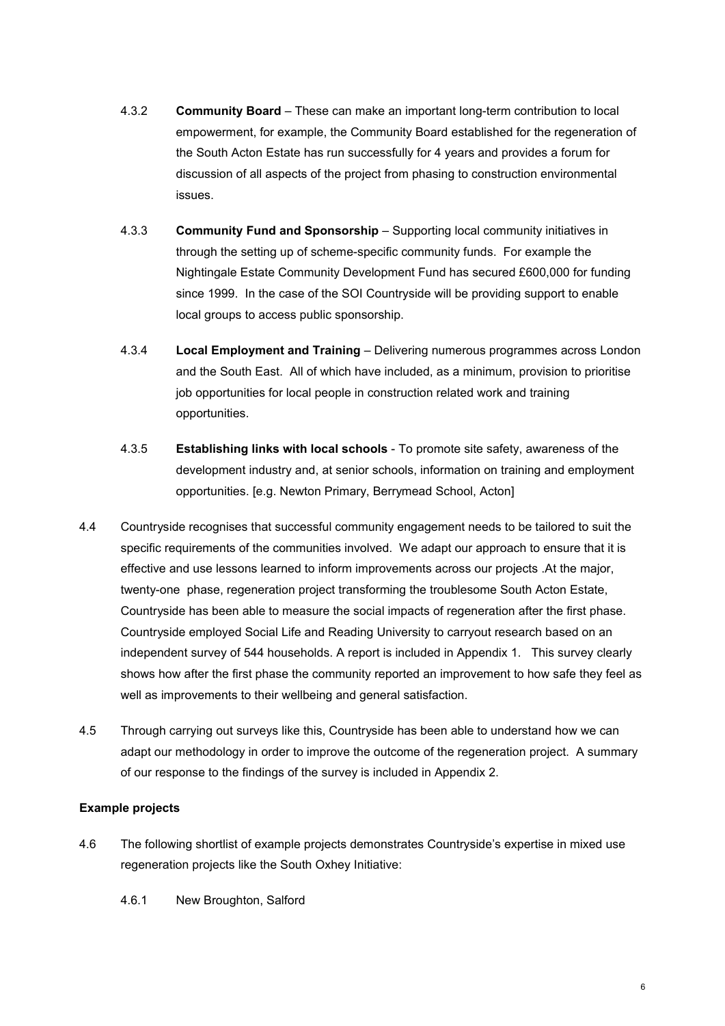- 4.3.2 **Community Board** These can make an important long-term contribution to local empowerment, for example, the Community Board established for the regeneration of the South Acton Estate has run successfully for 4 years and provides a forum for discussion of all aspects of the project from phasing to construction environmental issues.
- 4.3.3 **Community Fund and Sponsorship** Supporting local community initiatives in through the setting up of scheme-specific community funds. For example the Nightingale Estate Community Development Fund has secured £600,000 for funding since 1999. In the case of the SOI Countryside will be providing support to enable local groups to access public sponsorship.
- 4.3.4 **Local Employment and Training** Delivering numerous programmes across London and the South East. All of which have included, as a minimum, provision to prioritise job opportunities for local people in construction related work and training opportunities.
- 4.3.5 **Establishing links with local schools** To promote site safety, awareness of the development industry and, at senior schools, information on training and employment opportunities. [e.g. Newton Primary, Berrymead School, Acton]
- 4.4 Countryside recognises that successful community engagement needs to be tailored to suit the specific requirements of the communities involved. We adapt our approach to ensure that it is effective and use lessons learned to inform improvements across our projects .At the major, twenty-one phase, regeneration project transforming the troublesome South Acton Estate, Countryside has been able to measure the social impacts of regeneration after the first phase. Countryside employed Social Life and Reading University to carryout research based on an independent survey of 544 households. A report is included in Appendix 1. This survey clearly shows how after the first phase the community reported an improvement to how safe they feel as well as improvements to their wellbeing and general satisfaction.
- 4.5 Through carrying out surveys like this, Countryside has been able to understand how we can adapt our methodology in order to improve the outcome of the regeneration project. A summary of our response to the findings of the survey is included in Appendix 2.

### **Example projects**

- 4.6 The following shortlist of example projects demonstrates Countryside's expertise in mixed use regeneration projects like the South Oxhey Initiative:
	- 4.6.1 New Broughton, Salford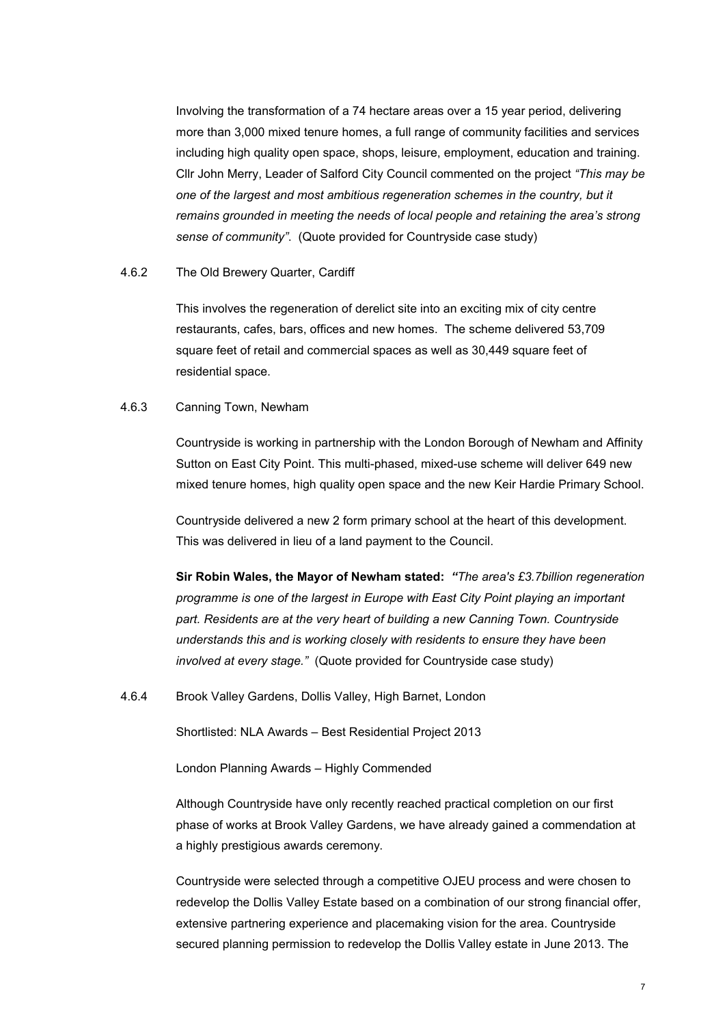Involving the transformation of a 74 hectare areas over a 15 year period, delivering more than 3,000 mixed tenure homes, a full range of community facilities and services including high quality open space, shops, leisure, employment, education and training. Cllr John Merry, Leader of Salford City Council commented on the project *"This may be one of the largest and most ambitious regeneration schemes in the country, but it remains grounded in meeting the needs of local people and retaining the area's strong sense of community"*. (Quote provided for Countryside case study)

#### 4.6.2 The Old Brewery Quarter, Cardiff

This involves the regeneration of derelict site into an exciting mix of city centre restaurants, cafes, bars, offices and new homes. The scheme delivered 53,709 square feet of retail and commercial spaces as well as 30,449 square feet of residential space.

#### 4.6.3 Canning Town, Newham

Countryside is working in partnership with the London Borough of Newham and Affinity Sutton on East City Point. This multi-phased, mixed-use scheme will deliver 649 new mixed tenure homes, high quality open space and the new Keir Hardie Primary School.

Countryside delivered a new 2 form primary school at the heart of this development. This was delivered in lieu of a land payment to the Council.

**Sir Robin Wales, the Mayor of Newham stated:** *"The area's £3.7billion regeneration programme is one of the largest in Europe with East City Point playing an important part. Residents are at the very heart of building a new Canning Town. Countryside understands this and is working closely with residents to ensure they have been involved at every stage."* (Quote provided for Countryside case study)

4.6.4 Brook Valley Gardens, Dollis Valley, High Barnet, London

Shortlisted: NLA Awards – Best Residential Project 2013

London Planning Awards – Highly Commended

Although Countryside have only recently reached practical completion on our first phase of works at Brook Valley Gardens, we have already gained a commendation at a highly prestigious awards ceremony.

Countryside were selected through a competitive OJEU process and were chosen to redevelop the Dollis Valley Estate based on a combination of our strong financial offer, extensive partnering experience and placemaking vision for the area. Countryside secured planning permission to redevelop the Dollis Valley estate in June 2013. The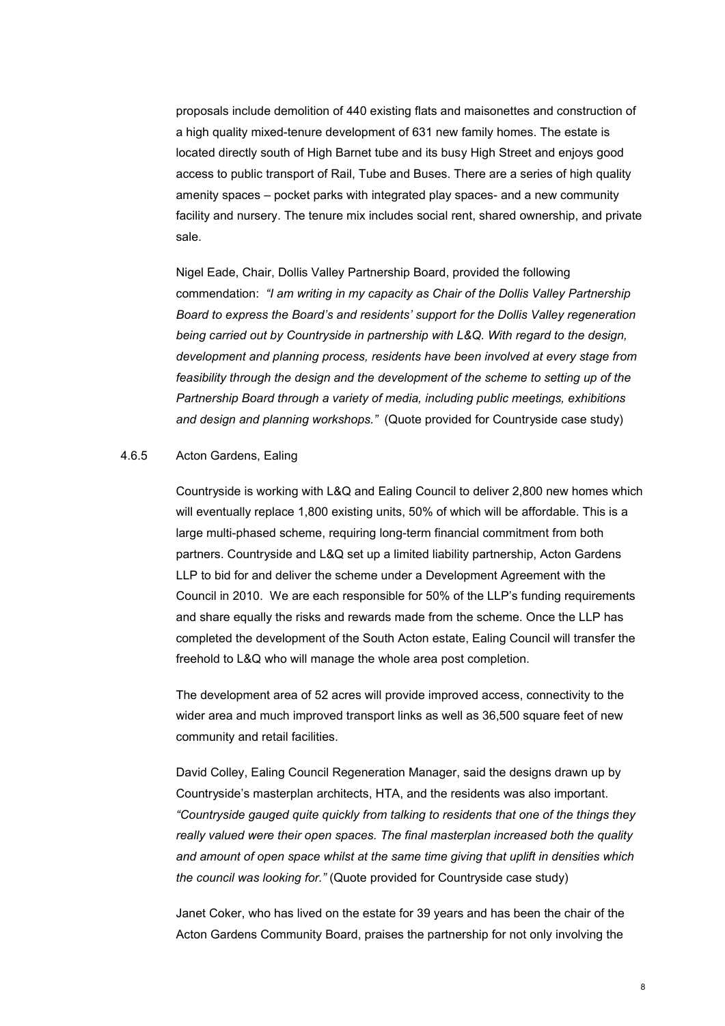proposals include demolition of 440 existing flats and maisonettes and construction of a high quality mixed-tenure development of 631 new family homes. The estate is located directly south of High Barnet tube and its busy High Street and enjoys good access to public transport of Rail, Tube and Buses. There are a series of high quality amenity spaces – pocket parks with integrated play spaces- and a new community facility and nursery. The tenure mix includes social rent, shared ownership, and private sale.

Nigel Eade, Chair, Dollis Valley Partnership Board, provided the following commendation: *"I am writing in my capacity as Chair of the Dollis Valley Partnership Board to express the Board's and residents' support for the Dollis Valley regeneration being carried out by Countryside in partnership with L&Q. With regard to the design, development and planning process, residents have been involved at every stage from feasibility through the design and the development of the scheme to setting up of the Partnership Board through a variety of media, including public meetings, exhibitions and design and planning workshops."* (Quote provided for Countryside case study)

#### 4.6.5 Acton Gardens, Ealing

Countryside is working with L&Q and Ealing Council to deliver 2,800 new homes which will eventually replace 1,800 existing units, 50% of which will be affordable. This is a large multi-phased scheme, requiring long-term financial commitment from both partners. Countryside and L&Q set up a limited liability partnership, Acton Gardens LLP to bid for and deliver the scheme under a Development Agreement with the Council in 2010. We are each responsible for 50% of the LLP's funding requirements and share equally the risks and rewards made from the scheme. Once the LLP has completed the development of the South Acton estate, Ealing Council will transfer the freehold to L&Q who will manage the whole area post completion.

The development area of 52 acres will provide improved access, connectivity to the wider area and much improved transport links as well as 36,500 square feet of new community and retail facilities.

David Colley, Ealing Council Regeneration Manager, said the designs drawn up by Countryside's masterplan architects, HTA, and the residents was also important. *"Countryside gauged quite quickly from talking to residents that one of the things they really valued were their open spaces. The final masterplan increased both the quality and amount of open space whilst at the same time giving that uplift in densities which the council was looking for."* (Quote provided for Countryside case study)

Janet Coker, who has lived on the estate for 39 years and has been the chair of the Acton Gardens Community Board, praises the partnership for not only involving the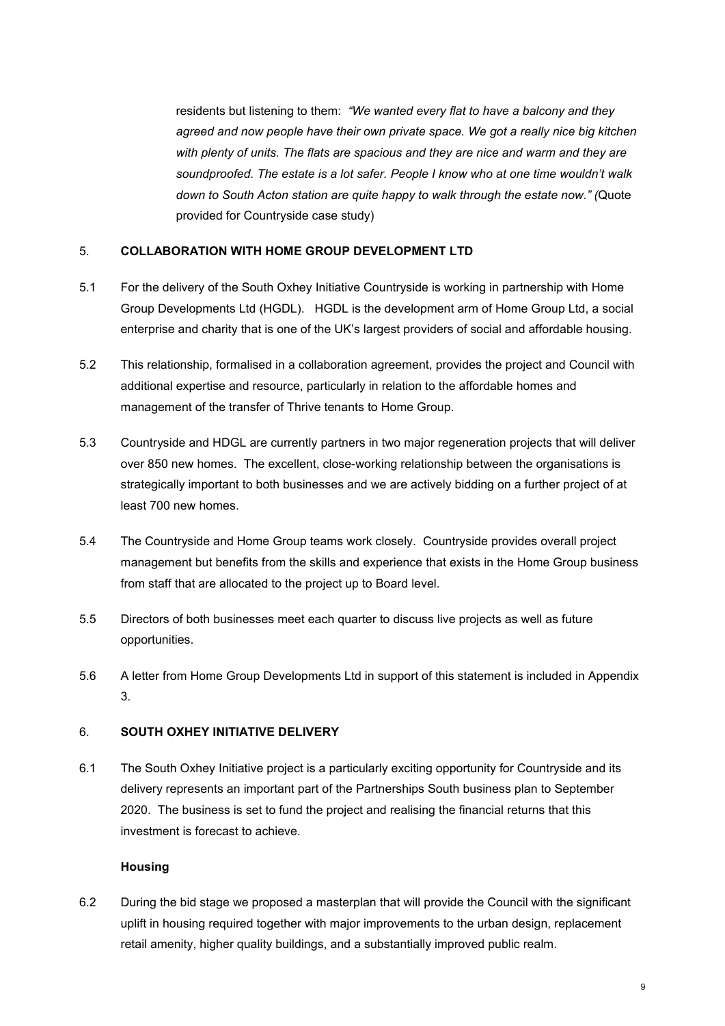residents but listening to them: *"We wanted every flat to have a balcony and they agreed and now people have their own private space. We got a really nice big kitchen with plenty of units. The flats are spacious and they are nice and warm and they are soundproofed. The estate is a lot safer. People I know who at one time wouldn't walk down to South Acton station are quite happy to walk through the estate now." (*Quote provided for Countryside case study)

# <span id="page-8-0"></span>5. **COLLABORATION WITH HOME GROUP DEVELOPMENT LTD**

- 5.1 For the delivery of the South Oxhey Initiative Countryside is working in partnership with Home Group Developments Ltd (HGDL). HGDL is the development arm of Home Group Ltd, a social enterprise and charity that is one of the UK's largest providers of social and affordable housing.
- 5.2 This relationship, formalised in a collaboration agreement, provides the project and Council with additional expertise and resource, particularly in relation to the affordable homes and management of the transfer of Thrive tenants to Home Group.
- 5.3 Countryside and HDGL are currently partners in two major regeneration projects that will deliver over 850 new homes. The excellent, close-working relationship between the organisations is strategically important to both businesses and we are actively bidding on a further project of at least 700 new homes.
- 5.4 The Countryside and Home Group teams work closely. Countryside provides overall project management but benefits from the skills and experience that exists in the Home Group business from staff that are allocated to the project up to Board level.
- 5.5 Directors of both businesses meet each quarter to discuss live projects as well as future opportunities.
- 5.6 A letter from Home Group Developments Ltd in support of this statement is included in Appendix 3.

## <span id="page-8-1"></span>6. **SOUTH OXHEY INITIATIVE DELIVERY**

6.1 The South Oxhey Initiative project is a particularly exciting opportunity for Countryside and its delivery represents an important part of the Partnerships South business plan to September 2020. The business is set to fund the project and realising the financial returns that this investment is forecast to achieve.

## **Housing**

6.2 During the bid stage we proposed a masterplan that will provide the Council with the significant uplift in housing required together with major improvements to the urban design, replacement retail amenity, higher quality buildings, and a substantially improved public realm.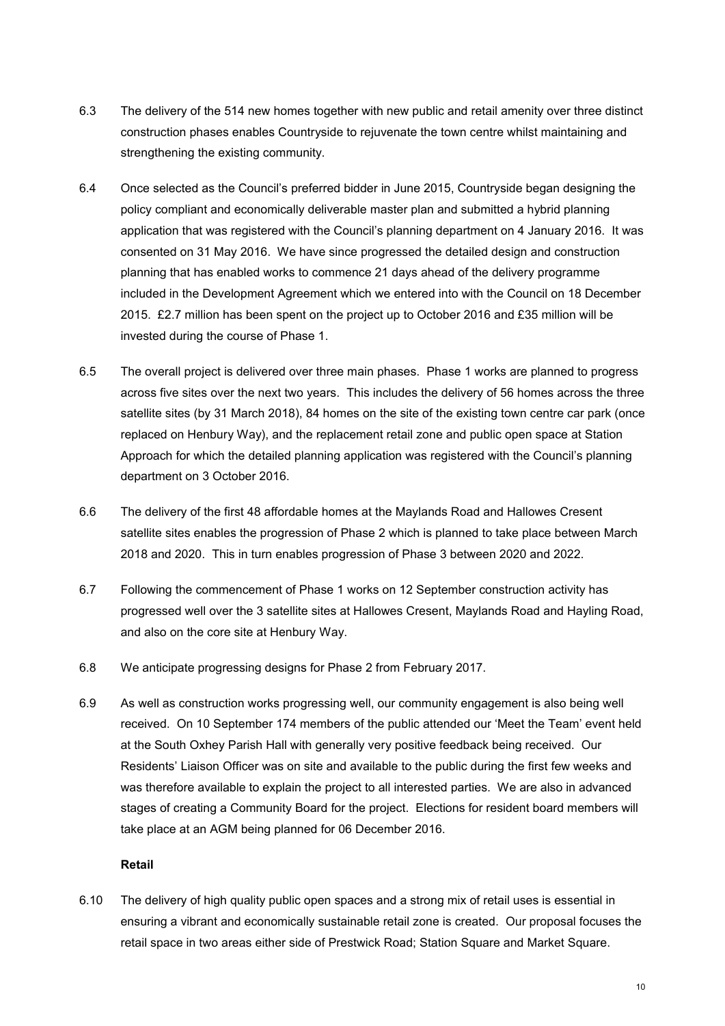- 6.3 The delivery of the 514 new homes together with new public and retail amenity over three distinct construction phases enables Countryside to rejuvenate the town centre whilst maintaining and strengthening the existing community.
- 6.4 Once selected as the Council's preferred bidder in June 2015, Countryside began designing the policy compliant and economically deliverable master plan and submitted a hybrid planning application that was registered with the Council's planning department on 4 January 2016. It was consented on 31 May 2016. We have since progressed the detailed design and construction planning that has enabled works to commence 21 days ahead of the delivery programme included in the Development Agreement which we entered into with the Council on 18 December 2015. £2.7 million has been spent on the project up to October 2016 and £35 million will be invested during the course of Phase 1.
- 6.5 The overall project is delivered over three main phases. Phase 1 works are planned to progress across five sites over the next two years. This includes the delivery of 56 homes across the three satellite sites (by 31 March 2018), 84 homes on the site of the existing town centre car park (once replaced on Henbury Way), and the replacement retail zone and public open space at Station Approach for which the detailed planning application was registered with the Council's planning department on 3 October 2016.
- 6.6 The delivery of the first 48 affordable homes at the Maylands Road and Hallowes Cresent satellite sites enables the progression of Phase 2 which is planned to take place between March 2018 and 2020. This in turn enables progression of Phase 3 between 2020 and 2022.
- 6.7 Following the commencement of Phase 1 works on 12 September construction activity has progressed well over the 3 satellite sites at Hallowes Cresent, Maylands Road and Hayling Road, and also on the core site at Henbury Way.
- 6.8 We anticipate progressing designs for Phase 2 from February 2017.
- 6.9 As well as construction works progressing well, our community engagement is also being well received. On 10 September 174 members of the public attended our 'Meet the Team' event held at the South Oxhey Parish Hall with generally very positive feedback being received. Our Residents' Liaison Officer was on site and available to the public during the first few weeks and was therefore available to explain the project to all interested parties. We are also in advanced stages of creating a Community Board for the project. Elections for resident board members will take place at an AGM being planned for 06 December 2016.

### **Retail**

6.10 The delivery of high quality public open spaces and a strong mix of retail uses is essential in ensuring a vibrant and economically sustainable retail zone is created. Our proposal focuses the retail space in two areas either side of Prestwick Road; Station Square and Market Square.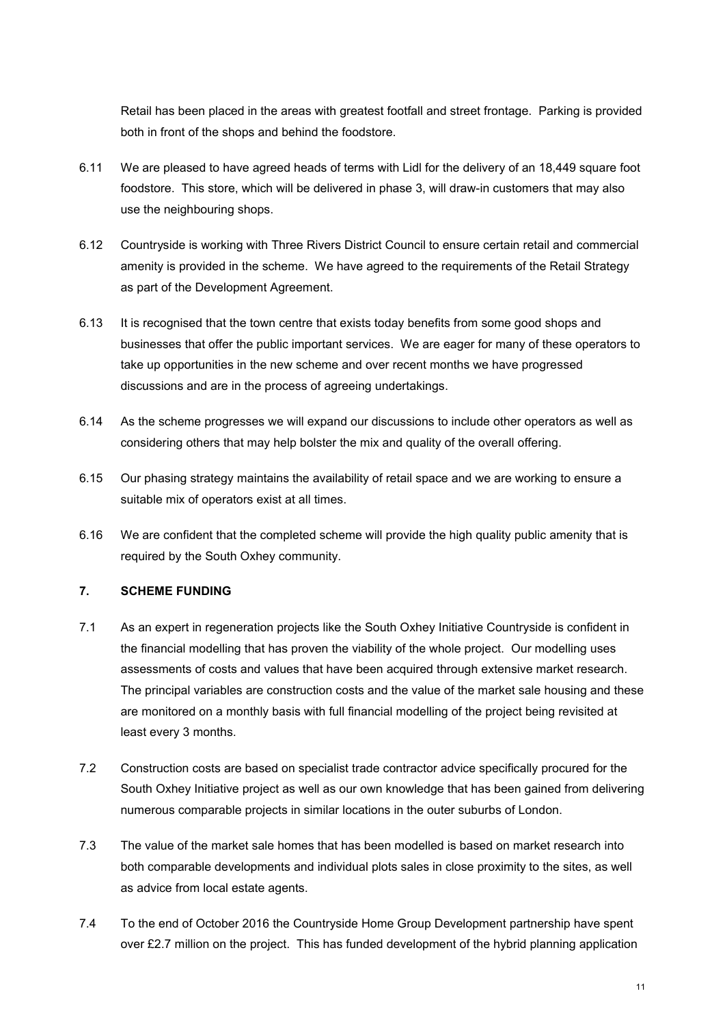Retail has been placed in the areas with greatest footfall and street frontage. Parking is provided both in front of the shops and behind the foodstore.

- 6.11 We are pleased to have agreed heads of terms with Lidl for the delivery of an 18,449 square foot foodstore. This store, which will be delivered in phase 3, will draw-in customers that may also use the neighbouring shops.
- 6.12 Countryside is working with Three Rivers District Council to ensure certain retail and commercial amenity is provided in the scheme. We have agreed to the requirements of the Retail Strategy as part of the Development Agreement.
- 6.13 It is recognised that the town centre that exists today benefits from some good shops and businesses that offer the public important services. We are eager for many of these operators to take up opportunities in the new scheme and over recent months we have progressed discussions and are in the process of agreeing undertakings.
- 6.14 As the scheme progresses we will expand our discussions to include other operators as well as considering others that may help bolster the mix and quality of the overall offering.
- 6.15 Our phasing strategy maintains the availability of retail space and we are working to ensure a suitable mix of operators exist at all times.
- 6.16 We are confident that the completed scheme will provide the high quality public amenity that is required by the South Oxhey community.

## <span id="page-10-0"></span>**7. SCHEME FUNDING**

- 7.1 As an expert in regeneration projects like the South Oxhey Initiative Countryside is confident in the financial modelling that has proven the viability of the whole project. Our modelling uses assessments of costs and values that have been acquired through extensive market research. The principal variables are construction costs and the value of the market sale housing and these are monitored on a monthly basis with full financial modelling of the project being revisited at least every 3 months.
- 7.2 Construction costs are based on specialist trade contractor advice specifically procured for the South Oxhey Initiative project as well as our own knowledge that has been gained from delivering numerous comparable projects in similar locations in the outer suburbs of London.
- 7.3 The value of the market sale homes that has been modelled is based on market research into both comparable developments and individual plots sales in close proximity to the sites, as well as advice from local estate agents.
- 7.4 To the end of October 2016 the Countryside Home Group Development partnership have spent over £2.7 million on the project. This has funded development of the hybrid planning application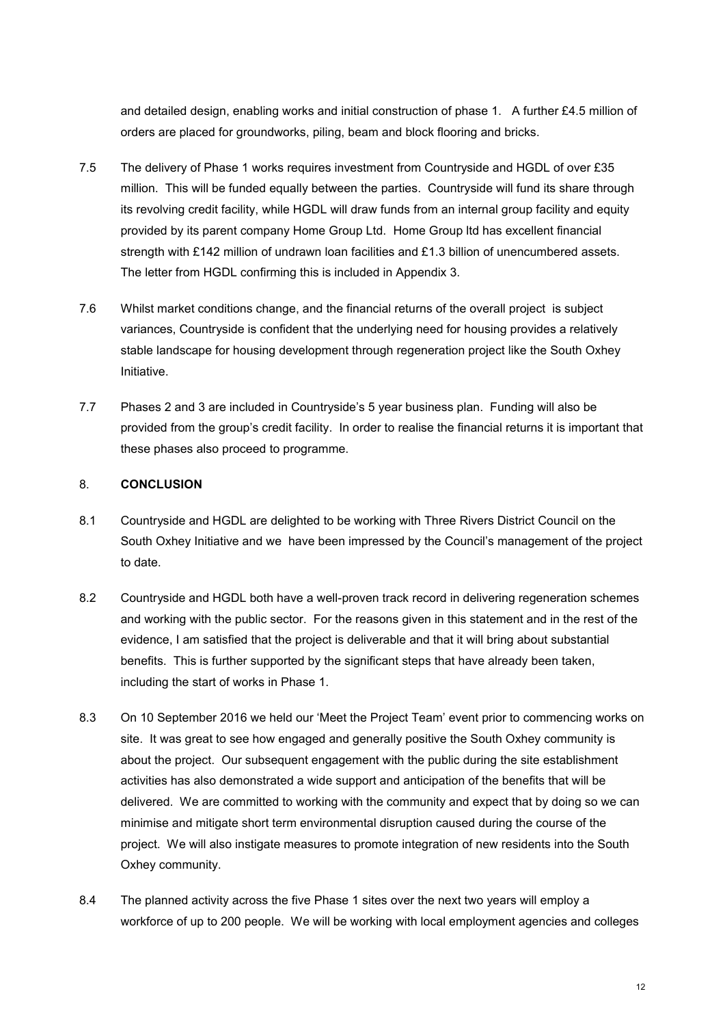and detailed design, enabling works and initial construction of phase 1. A further £4.5 million of orders are placed for groundworks, piling, beam and block flooring and bricks.

- 7.5 The delivery of Phase 1 works requires investment from Countryside and HGDL of over £35 million. This will be funded equally between the parties. Countryside will fund its share through its revolving credit facility, while HGDL will draw funds from an internal group facility and equity provided by its parent company Home Group Ltd. Home Group ltd has excellent financial strength with £142 million of undrawn loan facilities and £1.3 billion of unencumbered assets. The letter from HGDL confirming this is included in Appendix 3.
- 7.6 Whilst market conditions change, and the financial returns of the overall project is subject variances, Countryside is confident that the underlying need for housing provides a relatively stable landscape for housing development through regeneration project like the South Oxhey Initiative.
- 7.7 Phases 2 and 3 are included in Countryside's 5 year business plan. Funding will also be provided from the group's credit facility. In order to realise the financial returns it is important that these phases also proceed to programme.

## <span id="page-11-0"></span>8. **CONCLUSION**

- 8.1 Countryside and HGDL are delighted to be working with Three Rivers District Council on the South Oxhey Initiative and we have been impressed by the Council's management of the project to date.
- 8.2 Countryside and HGDL both have a well-proven track record in delivering regeneration schemes and working with the public sector. For the reasons given in this statement and in the rest of the evidence, I am satisfied that the project is deliverable and that it will bring about substantial benefits. This is further supported by the significant steps that have already been taken, including the start of works in Phase 1.
- 8.3 On 10 September 2016 we held our 'Meet the Project Team' event prior to commencing works on site. It was great to see how engaged and generally positive the South Oxhey community is about the project. Our subsequent engagement with the public during the site establishment activities has also demonstrated a wide support and anticipation of the benefits that will be delivered. We are committed to working with the community and expect that by doing so we can minimise and mitigate short term environmental disruption caused during the course of the project. We will also instigate measures to promote integration of new residents into the South Oxhey community.
- 8.4 The planned activity across the five Phase 1 sites over the next two years will employ a workforce of up to 200 people. We will be working with local employment agencies and colleges